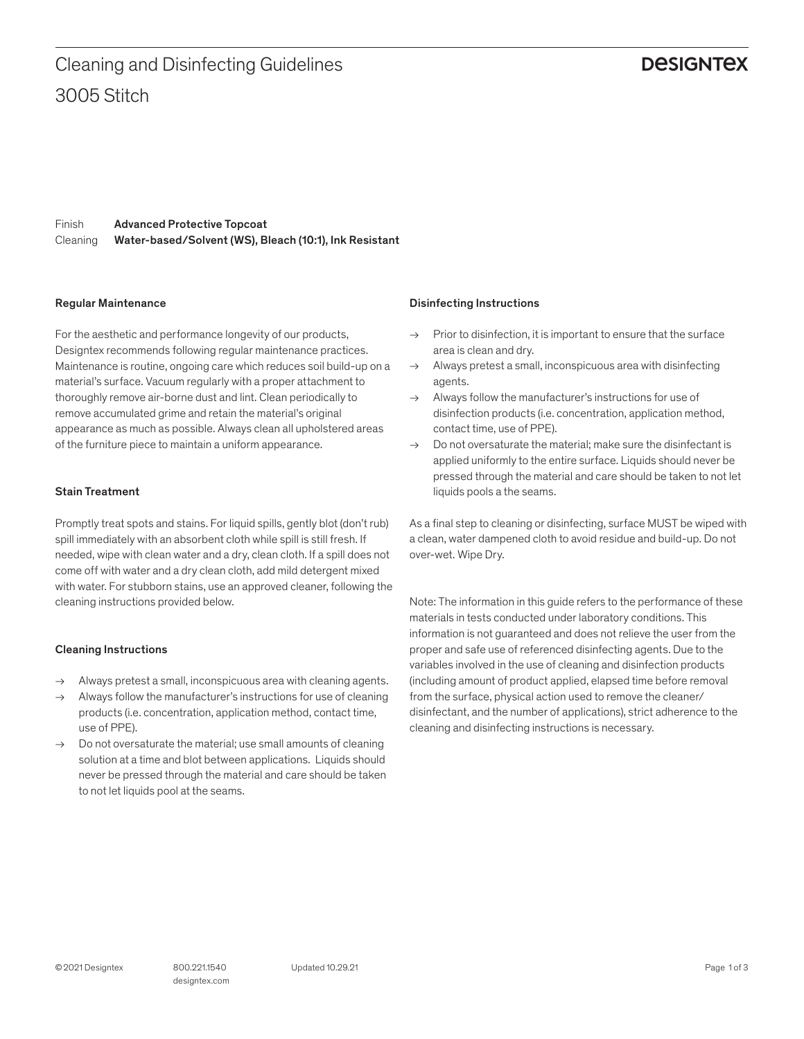## 3005 Stitch Cleaning and Disinfecting Guidelines

### **DESIGNTEX**

Finish Cleaning Advanced Protective Topcoat Water-based/Solvent (WS), Bleach (10:1), Ink Resistant

#### Regular Maintenance

For the aesthetic and performance longevity of our products, Designtex recommends following regular maintenance practices. Maintenance is routine, ongoing care which reduces soil build-up on a material's surface. Vacuum regularly with a proper attachment to thoroughly remove air-borne dust and lint. Clean periodically to remove accumulated grime and retain the material's original appearance as much as possible. Always clean all upholstered areas of the furniture piece to maintain a uniform appearance.

#### Stain Treatment

Promptly treat spots and stains. For liquid spills, gently blot (don't rub) spill immediately with an absorbent cloth while spill is still fresh. If needed, wipe with clean water and a dry, clean cloth. If a spill does not come off with water and a dry clean cloth, add mild detergent mixed with water. For stubborn stains, use an approved cleaner, following the cleaning instructions provided below.

#### Cleaning Instructions

- $\rightarrow$  Always pretest a small, inconspicuous area with cleaning agents.
- $\rightarrow$  Always follow the manufacturer's instructions for use of cleaning products (i.e. concentration, application method, contact time, use of PPE).
- $\rightarrow$  Do not oversaturate the material; use small amounts of cleaning solution at a time and blot between applications. Liquids should never be pressed through the material and care should be taken to not let liquids pool at the seams.

#### Disinfecting Instructions

- $\rightarrow$  Prior to disinfection, it is important to ensure that the surface area is clean and dry.
- $\rightarrow$  Always pretest a small, inconspicuous area with disinfecting agents.
- $\rightarrow$  Always follow the manufacturer's instructions for use of disinfection products (i.e. concentration, application method, contact time, use of PPE).
- $\rightarrow$  Do not oversaturate the material: make sure the disinfectant is applied uniformly to the entire surface. Liquids should never be pressed through the material and care should be taken to not let liquids pools a the seams.

As a final step to cleaning or disinfecting, surface MUST be wiped with a clean, water dampened cloth to avoid residue and build-up. Do not over-wet. Wipe Dry.

Note: The information in this guide refers to the performance of these materials in tests conducted under laboratory conditions. This information is not guaranteed and does not relieve the user from the proper and safe use of referenced disinfecting agents. Due to the variables involved in the use of cleaning and disinfection products (including amount of product applied, elapsed time before removal from the surface, physical action used to remove the cleaner/ disinfectant, and the number of applications), strict adherence to the cleaning and disinfecting instructions is necessary.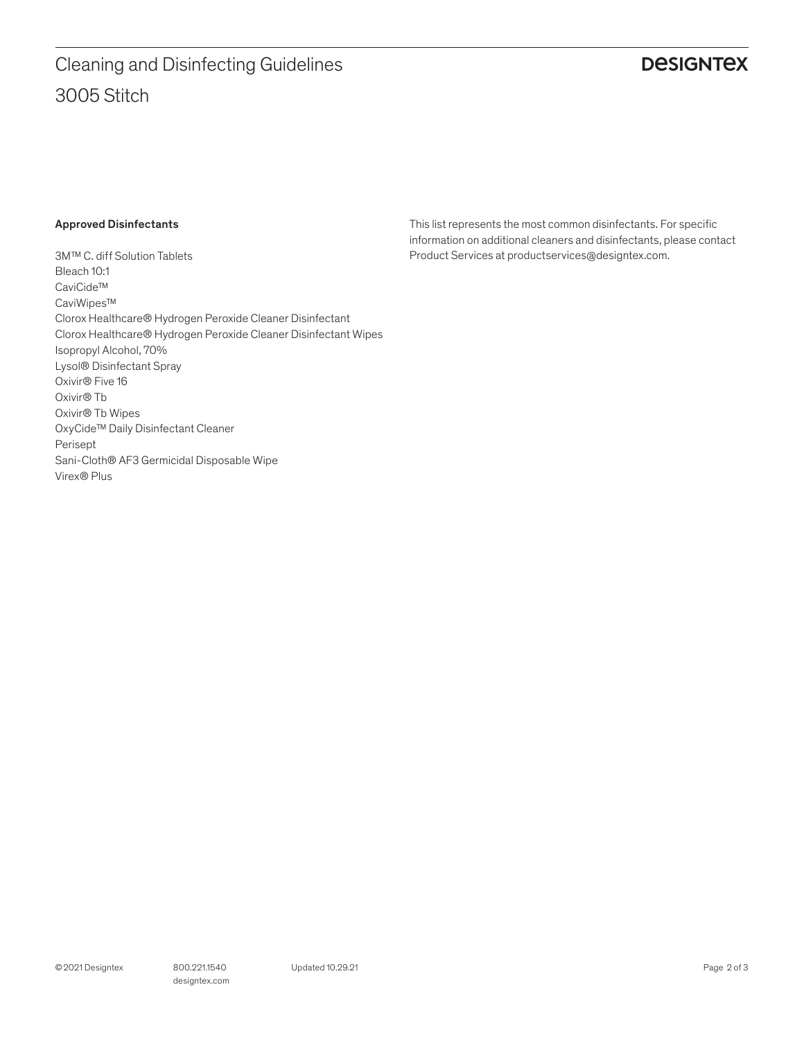# 3005 Stitch Cleaning and Disinfecting Guidelines

### **DESIGNTEX**

#### Approved Disinfectants

3M™ C. diff Solution Tablets Bleach 10:1 CaviCide™ CaviWipes™ Clorox Healthcare® Hydrogen Peroxide Cleaner Disinfectant Clorox Healthcare® Hydrogen Peroxide Cleaner Disinfectant Wipes Isopropyl Alcohol, 70% Lysol® Disinfectant Spray Oxivir® Five 16 Oxivir® Tb Oxivir® Tb Wipes OxyCide™ Daily Disinfectant Cleaner Perisept Sani-Cloth® AF3 Germicidal Disposable Wipe Virex® Plus

This list represents the most common disinfectants. For specific information on additional cleaners and disinfectants, please contact Product Services at productservices@designtex.com.